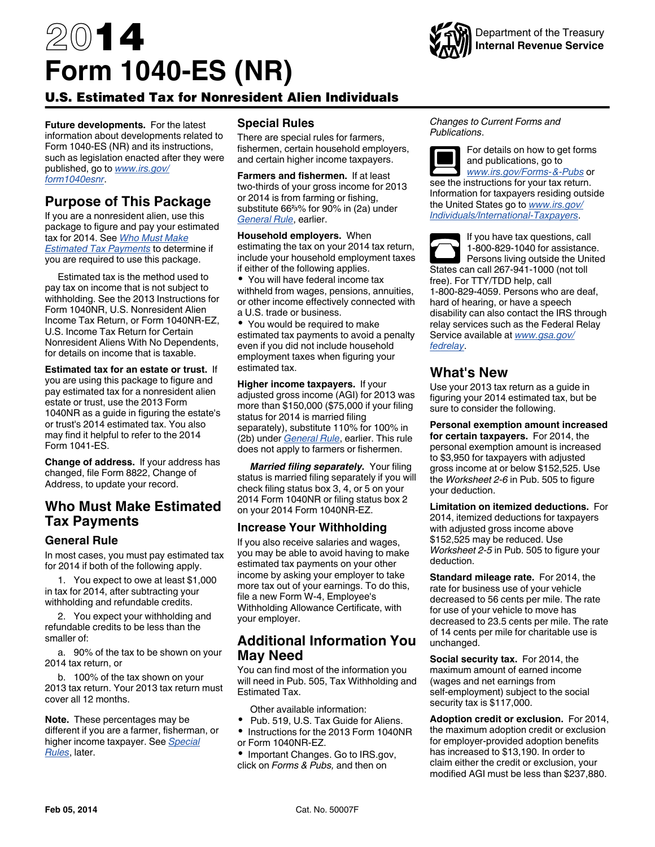# <span id="page-0-0"></span>2014 **Form 1040-ES (NR)**



**Future developments.** For the latest information about developments related to Form 1040-ES (NR) and its instructions, such as legislation enacted after they were published, go to *[www.irs.gov/](http://www.irs.gov/form1040esnr) [form1040esnr](http://www.irs.gov/form1040esnr)*.

## **Purpose of This Package**

If you are a nonresident alien, use this package to figure and pay your estimated tax for 2014. See *Who Must Make Estimated Tax Payments* to determine if you are required to use this package.

Estimated tax is the method used to pay tax on income that is not subject to withholding. See the 2013 Instructions for Form 1040NR, U.S. Nonresident Alien Income Tax Return, or Form 1040NR-EZ, U.S. Income Tax Return for Certain Nonresident Aliens With No Dependents, for details on income that is taxable.

**Estimated tax for an estate or trust.** If you are using this package to figure and pay estimated tax for a nonresident alien estate or trust, use the 2013 Form 1040NR as a guide in figuring the estate's or trust's 2014 estimated tax. You also may find it helpful to refer to the 2014 Form 1041-ES.

**Change of address.** If your address has changed, file Form 8822, Change of Address, to update your record.

#### **Who Must Make Estimated Tax Payments**

#### **General Rule**

In most cases, you must pay estimated tax for 2014 if both of the following apply.

1. You expect to owe at least \$1,000 in tax for 2014, after subtracting your withholding and refundable credits.

2. You expect your withholding and refundable credits to be less than the smaller of:

a. 90% of the tax to be shown on your 2014 tax return, or

b. 100% of the tax shown on your 2013 tax return. Your 2013 tax return must cover all 12 months.

**Note.** These percentages may be different if you are a farmer, fisherman, or higher income taxpayer. See *Special Rules*, later.

#### **Special Rules**

There are special rules for farmers, fishermen, certain household employers, and certain higher income taxpayers.

**Farmers and fishermen.** If at least two-thirds of your gross income for 2013 or 2014 is from farming or fishing, **<sup>3</sup>**% for 90% in (2a) under *General Rule*, earlier.

**Household employers.** When estimating the tax on your 2014 tax return, include your household employment taxes if either of the following applies.

• You will have federal income tax withheld from wages, pensions, annuities, or other income effectively connected with a U.S. trade or business.

You would be required to make estimated tax payments to avoid a penalty even if you did not include household employment taxes when figuring your estimated tax.

**Higher income taxpayers.** If your adjusted gross income (AGI) for 2013 was more than \$150,000 (\$75,000 if your filing status for 2014 is married filing separately), substitute 110% for 100% in (2b) under *General Rule*, earlier. This rule does not apply to farmers or fishermen.

*Married filing separately.* Your filing status is married filing separately if you will check filing status box 3, 4, or 5 on your 2014 Form 1040NR or filing status box 2 on your 2014 Form 1040NR-EZ.

#### **Increase Your Withholding**

If you also receive salaries and wages, you may be able to avoid having to make estimated tax payments on your other income by asking your employer to take more tax out of your earnings. To do this, file a new Form W-4, Employee's Withholding Allowance Certificate, with your employer.

#### **Additional Information You May Need**

You can find most of the information you will need in Pub. 505, Tax Withholding and Estimated Tax.

Other available information:

 Pub. 519, U.S. Tax Guide for Aliens.  $\bullet$ Instructions for the 2013 Form 1040NR

or Form 1040NR-EZ. • Important Changes. Go to IRS.gov, click on *Forms & Pubs,* and then on

*Changes to Current Forms and Publications*.

substitute  $66\frac{2}{9}\%$  for 90% in (2a) under the United States go to  $\frac{www.ns.gov}{www.ns.gov}$ For details on how to get forms and publications, go to *[www.irs.gov/Forms-&-Pubs](http://www.irs.gov/Forms-&-Pubs)* or see the instructions for your tax return. Information for taxpayers residing outside the United States go to *[www.irs.gov/](http://www.irs.gov/Individuals/International-Taxpayers) [Individuals/International-Taxpayers](http://www.irs.gov/Individuals/International-Taxpayers)*.

> If you have tax questions, call 1-800-829-1040 for assistance. Persons living outside the United States can call 267-941-1000 (not toll free). For TTY/TDD help, call 1-800-829-4059. Persons who are deaf, hard of hearing, or have a speech disability can also contact the IRS through relay services such as the Federal Relay Service available at *[www.gsa.gov/](http://www.gsa.gov/fedrelay) [fedrelay](http://www.gsa.gov/fedrelay)*.

#### **What's New**

Use your 2013 tax return as a guide in figuring your 2014 estimated tax, but be sure to consider the following.

**Personal exemption amount increased for certain taxpayers.** For 2014, the personal exemption amount is increased to \$3,950 for taxpayers with adjusted gross income at or below \$152,525. Use the *Worksheet 2-6* in Pub. 505 to figure your deduction.

**Limitation on itemized deductions.** For 2014, itemized deductions for taxpayers with adjusted gross income above \$152,525 may be reduced. Use *Worksheet 2-5* in Pub. 505 to figure your deduction.

**Standard mileage rate.** For 2014, the rate for business use of your vehicle decreased to 56 cents per mile. The rate for use of your vehicle to move has decreased to 23.5 cents per mile. The rate of 14 cents per mile for charitable use is unchanged.

**Social security tax.** For 2014, the maximum amount of earned income (wages and net earnings from self-employment) subject to the social security tax is \$117,000.

**Adoption credit or exclusion.** For 2014, the maximum adoption credit or exclusion for employer-provided adoption benefits has increased to \$13,190. In order to claim either the credit or exclusion, your modified AGI must be less than \$237,880.

## Department of the Treasury **Internal Revenue Service**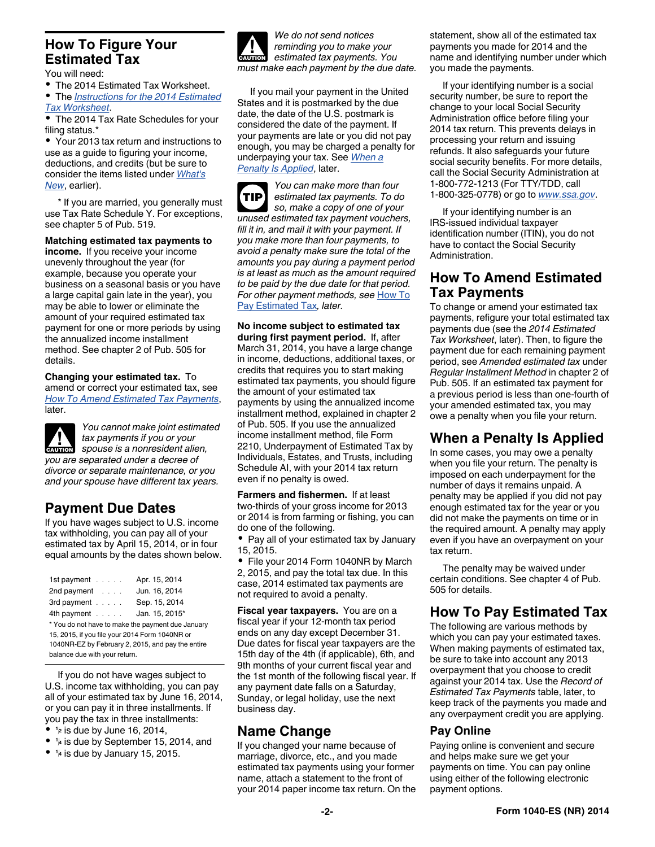#### **How To Figure Your Estimated Tax**

You will need:

The 2014 Estimated Tax Worksheet.  $\bullet$ The *[Instructions for the 2014 Estimated](#page-2-0)* 

*[Tax Worksheet](#page-2-0)*.

The 2014 Tax Rate Schedules for your filing status.\*

Your 2013 tax return and instructions to use as a guide to figuring your income, deductions, and credits (but be sure to consider the items listed under *[What's](#page-0-0) [New](#page-0-0)*, earlier).

\* If you are married, you generally must use Tax Rate Schedule Y. For exceptions, see chapter 5 of Pub. 519.

**Matching estimated tax payments to** 

**income.** If you receive your income unevenly throughout the year (for example, because you operate your business on a seasonal basis or you have a large capital gain late in the year), you may be able to lower or eliminate the amount of your required estimated tax payment for one or more periods by using the annualized income installment method. See chapter 2 of Pub. 505 for details.

**Changing your estimated tax.** To amend or correct your estimated tax, see *How To Amend Estimated Tax Payments*, later.

*You cannot make joint estimated tax payments if you or your CAUTION spouse is a nonresident alien, you are separated under a decree of divorce or separate maintenance, or you and your spouse have different tax years.*

## **Payment Due Dates**

If you have wages subject to U.S. income tax withholding, you can pay all of your estimated tax by April 15, 2014, or in four equal amounts by the dates shown below.

| 1st payment $\ldots$ .                            | Apr. 15, 2014  |
|---------------------------------------------------|----------------|
| 2nd payment $\ldots$                              | Jun. 16, 2014  |
| 3rd payment                                       | Sep. 15, 2014  |
| 4th payment $\ldots$ .                            | Jan. 15, 2015* |
| * You do not have to make the payment due January |                |
| 15, 2015, if you file your 2014 Form 1040NR or    |                |
| 1040NR-EZ by February 2, 2015, and pay the entire |                |
| balance due with your return.                     |                |

If you do not have wages subject to U.S. income tax withholding, you can pay all of your estimated tax by June 16, 2014, or you can pay it in three installments. If you pay the tax in three installments:

- $\frac{1}{2}$  is dualize the 16 2014 **Nome Change Change 16 2016 Day Online <sup>2</sup>** is due by June 16, 2014,
- <sup>1</sup>/<sub>4</sub> is due by September 15, 2014, and **the only the property of the property of the Paying online is convenient and secure**
- **<sup>4</sup>** is due by January 15, 2015.



*We do not send notices reminding you to make your estimated tax payments. You must make each payment by the due date.*

If you mail your payment in the United States and it is postmarked by the due date, the date of the U.S. postmark is considered the date of the payment. If your payments are late or you did not pay enough, you may be charged a penalty for underpaying your tax. See *When a Penalty Is Applied*, later.

*You can make more than four estimated tax payments. To do so, make a copy of one of your unused estimated tax payment vouchers, fill it in, and mail it with your payment. If you make more than four payments, to avoid a penalty make sure the total of the amounts you pay during a payment period is at least as much as the amount required to be paid by the due date for that period. For other payment methods, see* How To Pay Estimated Tax*, later.* **TIP**

**No income subject to estimated tax during first payment period.** If, after March 31, 2014, you have a large change in income, deductions, additional taxes, or credits that requires you to start making estimated tax payments, you should figure the amount of your estimated tax payments by using the annualized income installment method, explained in chapter 2 of Pub. 505. If you use the annualized income installment method, file Form 2210, Underpayment of Estimated Tax by Individuals, Estates, and Trusts, including Schedule AI, with your 2014 tax return even if no penalty is owed.

**Farmers and fishermen.** If at least two-thirds of your gross income for 2013 or 2014 is from farming or fishing, you can do one of the following.

• Pay all of your estimated tax by January 15, 2015.

• File your 2014 Form 1040NR by March 2, 2015, and pay the total tax due. In this case, 2014 estimated tax payments are not required to avoid a penalty.

**Fiscal year taxpayers.** You are on a fiscal year if your 12-month tax period ends on any day except December 31. Due dates for fiscal year taxpayers are the 15th day of the 4th (if applicable), 6th, and 9th months of your current fiscal year and the 1st month of the following fiscal year. If any payment date falls on a Saturday, Sunday, or legal holiday, use the next business day.

## **Name Change**

**1** If you changed your name because of marriage, divorce, etc., and you made estimated tax payments using your former name, attach a statement to the front of your 2014 paper income tax return. On the

statement, show all of the estimated tax payments you made for 2014 and the name and identifying number under which you made the payments.

If your identifying number is a social security number, be sure to report the change to your local Social Security Administration office before filing your 2014 tax return. This prevents delays in processing your return and issuing refunds. It also safeguards your future social security benefits. For more details, call the Social Security Administration at 1-800-772-1213 (For TTY/TDD, call 1-800-325-0778) or go to *[www.ssa.gov](http://www.ssa.gov/)*.

If your identifying number is an IRS-issued individual taxpayer identification number (ITIN), you do not have to contact the Social Security Administration.

## **How To Amend Estimated Tax Payments**

To change or amend your estimated tax payments, refigure your total estimated tax payments due (see the *2014 Estimated Tax Worksheet*, later). Then, to figure the payment due for each remaining payment period, see *Amended estimated tax* under *Regular Installment Method* in chapter 2 of Pub. 505. If an estimated tax payment for a previous period is less than one-fourth of your amended estimated tax, you may owe a penalty when you file your return.

#### **When a Penalty Is Applied**

In some cases, you may owe a penalty when you file your return. The penalty is imposed on each underpayment for the number of days it remains unpaid. A penalty may be applied if you did not pay enough estimated tax for the year or you did not make the payments on time or in the required amount. A penalty may apply even if you have an overpayment on your tax return.

The penalty may be waived under certain conditions. See chapter 4 of Pub. 505 for details.

## **How To Pay Estimated Tax**

The following are various methods by which you can pay your estimated taxes. When making payments of estimated tax, be sure to take into account any 2013 overpayment that you choose to credit against your 2014 tax. Use the *Record of Estimated Tax Payments* table, later, to keep track of the payments you made and any overpayment credit you are applying.

#### **Pay Online**

Paying online is convenient and secure and helps make sure we get your payments on time. You can pay online using either of the following electronic payment options.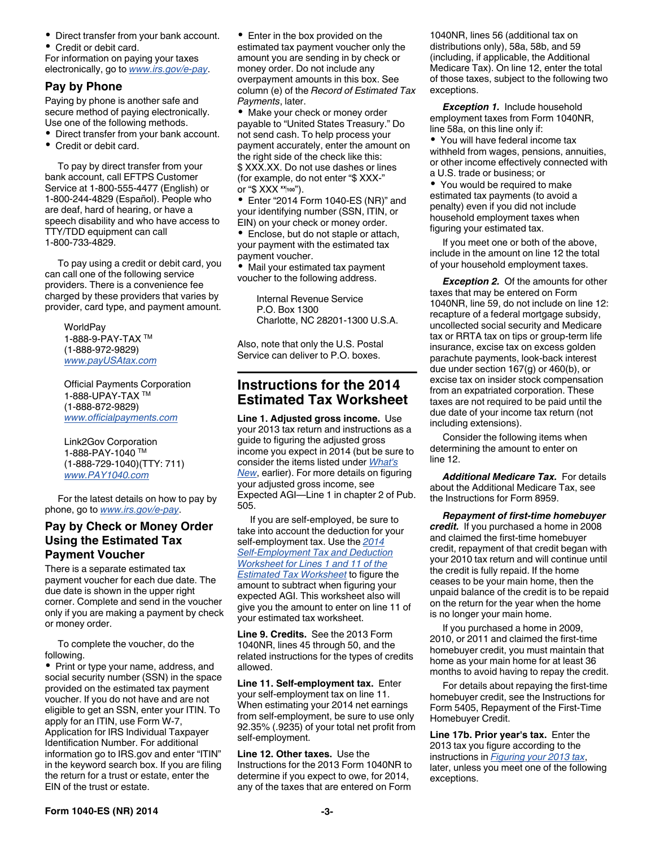- <span id="page-2-0"></span>Direct transfer from your bank account.
- Credit or debit card.

For information on paying your taxes electronically, go to *[www.irs.gov/e-pay](http://www.irs.gov/e-pay)*.

#### **Pay by Phone**

Paying by phone is another safe and secure method of paying electronically. Use one of the following methods.

- Direct transfer from your bank account.
- Credit or debit card.

To pay by direct transfer from your bank account, call EFTPS Customer Service at 1-800-555-4477 (English) or 1-800-244-4829 (Español). People who are deaf, hard of hearing, or have a speech disability and who have access to TTY/TDD equipment can call 1-800-733-4829.

To pay using a credit or debit card, you can call one of the following service providers. There is a convenience fee charged by these providers that varies by provider, card type, and payment amount.

> **WorldPav** 1-888-9-PAY-TAX TM (1-888-972-9829) *[www.payUSAtax.com](http://www.payUSAtax.com)*

Official Payments Corporation 1-888-UPAY-TAX TM (1-888-872-9829) *[www.officialpayments.com](http://www.officialpayments.com)*

Link2Gov Corporation 1-888-PAY-1040 TM (1-888-729-1040)(TTY: 711) *[www.PAY1040.com](http://www.PAY1040.com)*

For the latest details on how to pay by phone, go to *[www.irs.gov/e-pay](http://www.irs.gov/e-pay)*.

#### **Pay by Check or Money Order Using the Estimated Tax Payment Voucher**

There is a separate estimated tax payment voucher for each due date. The due date is shown in the upper right corner. Complete and send in the voucher only if you are making a payment by check or money order.

To complete the voucher, do the following.

• Print or type your name, address, and social security number (SSN) in the space provided on the estimated tax payment voucher. If you do not have and are not eligible to get an SSN, enter your ITIN. To apply for an ITIN, use Form W-7, Application for IRS Individual Taxpayer Identification Number. For additional information go to IRS.gov and enter "ITIN" in the keyword search box. If you are filing the return for a trust or estate, enter the EIN of the trust or estate.

• Enter in the box provided on the estimated tax payment voucher only the amount you are sending in by check or money order. Do not include any overpayment amounts in this box. See column (e) of the *Record of Estimated Tax Payments*, later.

• Make your check or money order payable to "United States Treasury." Do not send cash. To help process your payment accurately, enter the amount on the right side of the check like this: \$ XXX.XX. Do not use dashes or lines (for example, do not enter "\$ XXX-" or "\$ XXX **xx100**").

Enter "2014 Form 1040-ES (NR)" and your identifying number (SSN, ITIN, or EIN) on your check or money order.

Enclose, but do not staple or attach, your payment with the estimated tax payment voucher.

• Mail your estimated tax payment voucher to the following address.

> Internal Revenue Service P.O. Box 1300 Charlotte, NC 28201-1300 U.S.A.

Also, note that only the U.S. Postal Service can deliver to P.O. boxes.

### **Instructions for the 2014 Estimated Tax Worksheet**

**Line 1. Adjusted gross income.** Use your 2013 tax return and instructions as a guide to figuring the adjusted gross income you expect in 2014 (but be sure to consider the items listed under *[What's](#page-0-0) [New](#page-0-0)*, earlier). For more details on figuring your adjusted gross income, see Expected AGI—Line 1 in chapter 2 of Pub. 505.

If you are self-employed, be sure to take into account the deduction for your self-employment tax. Use the *[2014](#page-3-0)  [Self-Employment Tax and Deduction](#page-3-0) [Worksheet for Lines 1 and 11 of the](#page-3-0) [Estimated Tax Worksheet](#page-3-0)* to figure the amount to subtract when figuring your expected AGI. This worksheet also will give you the amount to enter on line 11 of your estimated tax worksheet.

**Line 9. Credits.** See the 2013 Form 1040NR, lines 45 through 50, and the related instructions for the types of credits allowed.

**Line 11. Self-employment tax.** Enter your self-employment tax on line 11. When estimating your 2014 net earnings from self-employment, be sure to use only 92.35% (.9235) of your total net profit from self-employment.

**Line 12. Other taxes.** Use the Instructions for the 2013 Form 1040NR to determine if you expect to owe, for 2014, any of the taxes that are entered on Form

1040NR, lines 56 (additional tax on distributions only), 58a, 58b, and 59 (including, if applicable, the Additional Medicare Tax). On line 12, enter the total of those taxes, subject to the following two exceptions.

*Exception 1.* Include household employment taxes from Form 1040NR, line 58a, on this line only if:

You will have federal income tax withheld from wages, pensions, annuities, or other income effectively connected with a U.S. trade or business; or

You would be required to make estimated tax payments (to avoid a penalty) even if you did not include household employment taxes when figuring your estimated tax.

If you meet one or both of the above, include in the amount on line 12 the total of your household employment taxes.

*Exception 2.* Of the amounts for other taxes that may be entered on Form 1040NR, line 59, do not include on line 12: recapture of a federal mortgage subsidy, uncollected social security and Medicare tax or RRTA tax on tips or group-term life insurance, excise tax on excess golden parachute payments, look-back interest due under section 167(g) or 460(b), or excise tax on insider stock compensation from an expatriated corporation. These taxes are not required to be paid until the due date of your income tax return (not including extensions).

Consider the following items when determining the amount to enter on line 12.

*Additional Medicare Tax.* For details about the Additional Medicare Tax, see the Instructions for Form 8959.

*Repayment of first-time homebuyer credit.* If you purchased a home in 2008 and claimed the first-time homebuyer credit, repayment of that credit began with your 2010 tax return and will continue until the credit is fully repaid. If the home ceases to be your main home, then the unpaid balance of the credit is to be repaid on the return for the year when the home is no longer your main home.

If you purchased a home in 2009, 2010, or 2011 and claimed the first-time homebuyer credit, you must maintain that home as your main home for at least 36 months to avoid having to repay the credit.

For details about repaying the first-time homebuyer credit, see the Instructions for Form 5405, Repayment of the First-Time Homebuyer Credit.

**Line 17b. Prior year's tax.** Enter the 2013 tax you figure according to the instructions in *[Figuring your 2013 tax](#page-3-0)*, later, unless you meet one of the following exceptions.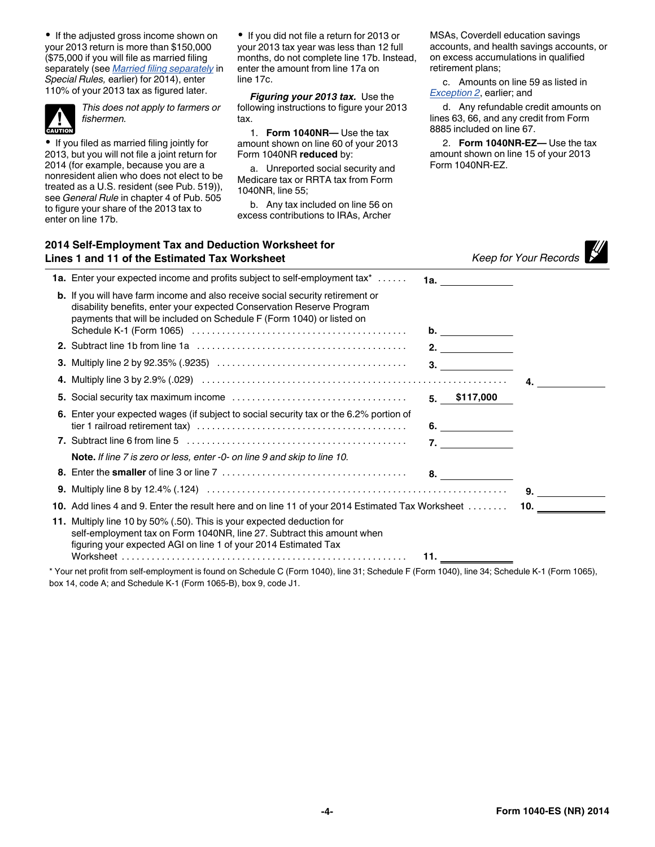<span id="page-3-0"></span>• If the adjusted gross income shown on your 2013 return is more than \$150,000 (\$75,000 if you will file as married filing separately (see *[Married filing separately](#page-0-0)* in *Special Rules,* earlier) for 2014), enter 110% of your 2013 tax as figured later.



*This does not apply to farmers or fishermen.*

**2014 Self-Employment Tax and Deduction Worksheet for**

• If you filed as married filing jointly for 2013, but you will not file a joint return for 2014 (for example, because you are a nonresident alien who does not elect to be treated as a U.S. resident (see Pub. 519)), see *General Rule* in chapter 4 of Pub. 505 to figure your share of the 2013 tax to enter on line 17b.

If you did not file a return for 2013 or your 2013 tax year was less than 12 full months, do not complete line 17b. Instead, enter the amount from line 17a on line 17c.

*Figuring your 2013 tax.* Use the following instructions to figure your 2013 tax.

1. **Form 1040NR—** Use the tax amount shown on line 60 of your 2013 Form 1040NR **reduced** by:

a. Unreported social security and Medicare tax or RRTA tax from Form 1040NR, line 55;

b. Any tax included on line 56 on excess contributions to IRAs, Archer

MSAs, Coverdell education savings accounts, and health savings accounts, or on excess accumulations in qualified retirement plans;

c. Amounts on line 59 as listed in *[Exception 2](#page-2-0)*, earlier; and

d. Any refundable credit amounts on lines 63, 66, and any credit from Form 8885 included on line 67.

2. **Form 1040NR-EZ—** Use the tax amount shown on line 15 of your 2013 Form 1040NR-EZ.

 $\blacksquare$ 

| Lines 1 and 11 of the Estimated Tax Worksheet                                                                                                                                                                                           |                    | Keep for Your Records |
|-----------------------------------------------------------------------------------------------------------------------------------------------------------------------------------------------------------------------------------------|--------------------|-----------------------|
| 1a. Enter your expected income and profits subject to self-employment tax <sup>*</sup>                                                                                                                                                  | 1a. $\frac{1}{2}$  |                       |
| <b>b.</b> If you will have farm income and also receive social security retirement or<br>disability benefits, enter your expected Conservation Reserve Program<br>payments that will be included on Schedule F (Form 1040) or listed on | b. $\qquad \qquad$ |                       |
|                                                                                                                                                                                                                                         | 2. $\qquad \qquad$ |                       |
|                                                                                                                                                                                                                                         |                    |                       |
|                                                                                                                                                                                                                                         |                    |                       |
|                                                                                                                                                                                                                                         | 5. \$117,000       |                       |
| 6. Enter your expected wages (if subject to social security tax or the 6.2% portion of                                                                                                                                                  |                    |                       |
|                                                                                                                                                                                                                                         | 7.                 |                       |
| Note. If line 7 is zero or less, enter -0- on line 9 and skip to line 10.                                                                                                                                                               |                    |                       |
|                                                                                                                                                                                                                                         |                    |                       |
|                                                                                                                                                                                                                                         |                    |                       |
| 10. Add lines 4 and 9. Enter the result here and on line 11 of your 2014 Estimated Tax Worksheet  10.                                                                                                                                   |                    |                       |
| 11. Multiply line 10 by 50% (.50). This is your expected deduction for<br>self-employment tax on Form 1040NR, line 27. Subtract this amount when<br>figuring your expected AGI on line 1 of your 2014 Estimated Tax                     |                    |                       |
| * Your net profit from self-employment is found on Schedule C (Form 1040) line 31: Schedule F (Form 1040) line 34: Schedule K-1 (Form 1065)                                                                                             |                    |                       |

Your net profit from self-employment is found on Schedule C (Form 1040), line 31; Schedule F (Form 1040), line 34; Schedule K-1 (Form 1065), box 14, code A; and Schedule K-1 (Form 1065-B), box 9, code J1.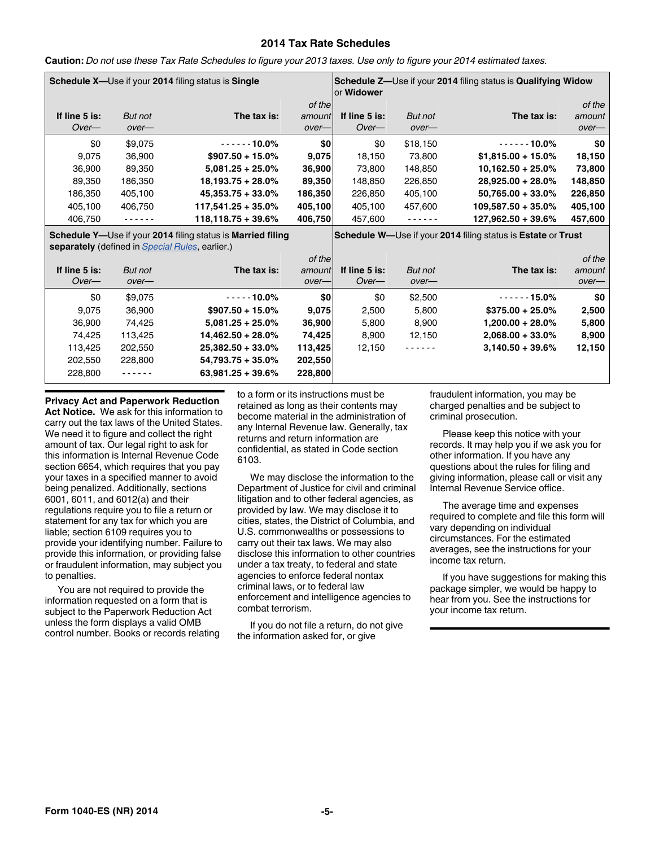#### **2014 Tax Rate Schedules**

**Caution:** *Do not use these Tax Rate Schedules to figure your 2013 taxes. Use only to figure your 2014 estimated taxes.*

|                            |                                                                                                                                                                                                                                                                                                                                                                                                                                                                            | Schedule X-Use if your 2014 filing status is Single         | or Widower                |                            | Schedule Z-Use if your 2014 filing status is Qualifying Widow |                                                              |                           |
|----------------------------|----------------------------------------------------------------------------------------------------------------------------------------------------------------------------------------------------------------------------------------------------------------------------------------------------------------------------------------------------------------------------------------------------------------------------------------------------------------------------|-------------------------------------------------------------|---------------------------|----------------------------|---------------------------------------------------------------|--------------------------------------------------------------|---------------------------|
| If line $5$ is:<br>$Over-$ | But not<br>over-                                                                                                                                                                                                                                                                                                                                                                                                                                                           | The tax is:                                                 | of the<br>amount<br>over- | If line $5$ is:<br>$Over-$ | But not<br>over-                                              | The tax is:                                                  | of the<br>amount<br>over- |
| \$0                        | \$9,075                                                                                                                                                                                                                                                                                                                                                                                                                                                                    | $---10.0%$                                                  | \$0                       | \$0                        | \$18,150                                                      | $---10.0%$                                                   | \$0                       |
| 9.075                      | 36,900                                                                                                                                                                                                                                                                                                                                                                                                                                                                     | $$907.50 + 15.0\%$                                          | 9,075                     | 18,150                     | 73.800                                                        | $$1,815.00 + 15.0\%$                                         | 18,150                    |
| 36.900                     | 89.350                                                                                                                                                                                                                                                                                                                                                                                                                                                                     | $5,081.25 + 25.0\%$                                         | 36,900                    | 73.800                     | 148.850                                                       | $10,162.50 + 25.0\%$                                         | 73,800                    |
| 89,350                     | 186,350                                                                                                                                                                                                                                                                                                                                                                                                                                                                    | $18,193.75 + 28.0\%$                                        | 89,350                    | 148,850                    | 226,850                                                       | $28,925.00 + 28.0\%$                                         | 148,850                   |
| 186.350                    | 405,100                                                                                                                                                                                                                                                                                                                                                                                                                                                                    | $45,353.75 + 33.0\%$                                        | 186,350                   | 226,850                    | 405,100                                                       | $50,765.00 + 33.0\%$                                         | 226,850                   |
| 405,100                    | 406,750                                                                                                                                                                                                                                                                                                                                                                                                                                                                    | $117,541.25 + 35.0\%$                                       | 405,100                   | 405,100                    | 457,600                                                       | 109,587.50 + 35.0%                                           | 405,100                   |
| 406,750                    | $\frac{1}{2} \left( \frac{1}{2} \right) \left( \frac{1}{2} \right) \left( \frac{1}{2} \right) \left( \frac{1}{2} \right) \left( \frac{1}{2} \right) \left( \frac{1}{2} \right) \left( \frac{1}{2} \right) \left( \frac{1}{2} \right) \left( \frac{1}{2} \right) \left( \frac{1}{2} \right) \left( \frac{1}{2} \right) \left( \frac{1}{2} \right) \left( \frac{1}{2} \right) \left( \frac{1}{2} \right) \left( \frac{1}{2} \right) \left( \frac{1}{2} \right) \left( \frac$ | $118,118.75 + 39.6\%$                                       | 406,750                   | 457,600                    | .                                                             | 127,962.50 + 39.6%                                           | 457,600                   |
|                            |                                                                                                                                                                                                                                                                                                                                                                                                                                                                            | Schedule Y-Use if your 2014 filing status is Married filing |                           |                            |                                                               | Schedule W-Use if your 2014 filing status is Estate or Trust |                           |
|                            |                                                                                                                                                                                                                                                                                                                                                                                                                                                                            | separately (defined in <i>Special Rules</i> , earlier.)     |                           |                            |                                                               |                                                              |                           |
|                            |                                                                                                                                                                                                                                                                                                                                                                                                                                                                            |                                                             | of the                    |                            |                                                               |                                                              | of the                    |
| If line 5 is:              | But not                                                                                                                                                                                                                                                                                                                                                                                                                                                                    | The tax is:                                                 | amount                    | If line $5$ is:            | But not                                                       | The tax is:                                                  | amount                    |
| Over-                      | $over-$                                                                                                                                                                                                                                                                                                                                                                                                                                                                    |                                                             | over-                     | Over-                      | over-                                                         |                                                              | $over-$                   |
| \$0                        | \$9,075                                                                                                                                                                                                                                                                                                                                                                                                                                                                    | $---10.0%$                                                  | \$0                       | \$0                        | \$2,500                                                       | $---15.0%$                                                   | \$0                       |
| 9.075                      | 36,900                                                                                                                                                                                                                                                                                                                                                                                                                                                                     | $$907.50 + 15.0\%$                                          | 9,075                     | 2,500                      | 5.800                                                         | $$375.00 + 25.0\%$                                           | 2,500                     |
| 36.900                     | 74,425                                                                                                                                                                                                                                                                                                                                                                                                                                                                     | $5,081.25 + 25.0\%$                                         | 36,900                    | 5.800                      | 8.900                                                         | $1,200.00 + 28.0\%$                                          | 5,800                     |
| 74.425                     | 113,425                                                                                                                                                                                                                                                                                                                                                                                                                                                                    | $14,462.50 + 28.0\%$                                        | 74.425                    | 8.900                      | 12,150                                                        | $2,068.00 + 33.0\%$                                          | 8,900                     |
| 113,425                    | 202,550                                                                                                                                                                                                                                                                                                                                                                                                                                                                    | $25,382.50 + 33.0\%$                                        | 113,425                   | 12,150                     | $- - - - -$                                                   | $3,140.50 + 39.6\%$                                          | 12,150                    |
| 202,550                    | 228,800                                                                                                                                                                                                                                                                                                                                                                                                                                                                    | $54,793.75 + 35.0\%$                                        | 202,550                   |                            |                                                               |                                                              |                           |
| 228,800                    | .                                                                                                                                                                                                                                                                                                                                                                                                                                                                          | $63,981.25 + 39.6\%$                                        | 228,800                   |                            |                                                               |                                                              |                           |

**Privacy Act and Paperwork Reduction Act Notice.** We ask for this information to carry out the tax laws of the United States. We need it to figure and collect the right amount of tax. Our legal right to ask for this information is Internal Revenue Code section 6654, which requires that you pay your taxes in a specified manner to avoid being penalized. Additionally, sections 6001, 6011, and 6012(a) and their regulations require you to file a return or statement for any tax for which you are liable; section 6109 requires you to provide your identifying number. Failure to provide this information, or providing false or fraudulent information, may subject you to penalties.

You are not required to provide the information requested on a form that is subject to the Paperwork Reduction Act unless the form displays a valid OMB control number. Books or records relating to a form or its instructions must be retained as long as their contents may become material in the administration of any Internal Revenue law. Generally, tax returns and return information are confidential, as stated in Code section 6103.

We may disclose the information to the Department of Justice for civil and criminal litigation and to other federal agencies, as provided by law. We may disclose it to cities, states, the District of Columbia, and U.S. commonwealths or possessions to carry out their tax laws. We may also disclose this information to other countries under a tax treaty, to federal and state agencies to enforce federal nontax criminal laws, or to federal law enforcement and intelligence agencies to combat terrorism.

If you do not file a return, do not give the information asked for, or give

fraudulent information, you may be charged penalties and be subject to criminal prosecution.

Please keep this notice with your records. It may help you if we ask you for other information. If you have any questions about the rules for filing and giving information, please call or visit any Internal Revenue Service office.

The average time and expenses required to complete and file this form will vary depending on individual circumstances. For the estimated averages, see the instructions for your income tax return.

If you have suggestions for making this package simpler, we would be happy to hear from you. See the instructions for your income tax return.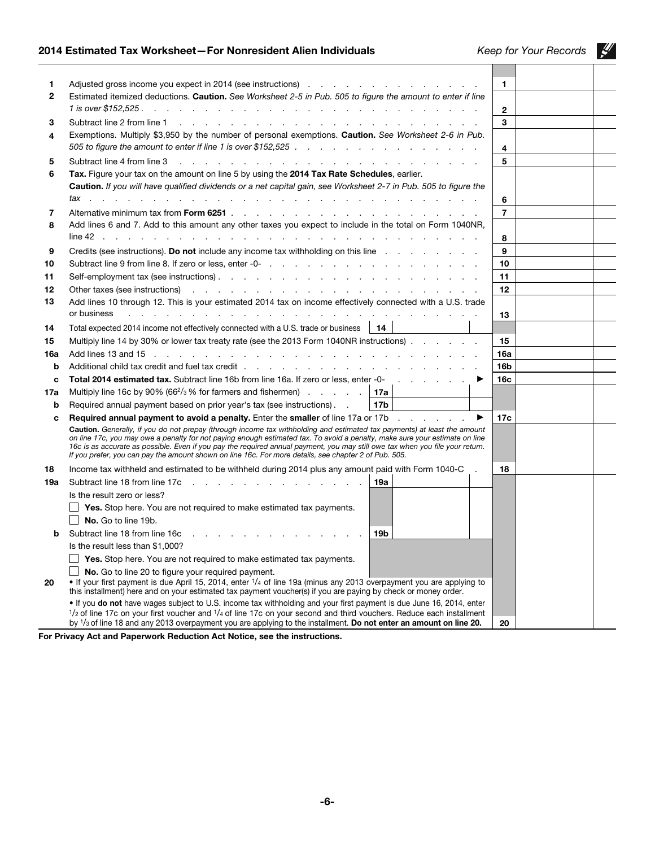## 2014 Estimated Tax Worksheet—For Nonresident Alien Individuals *Keep for Your Records*

 $\mathcal{L}$ 

| 1   |                                                                                                                                                                                                                                                                  | 1.             |  |
|-----|------------------------------------------------------------------------------------------------------------------------------------------------------------------------------------------------------------------------------------------------------------------|----------------|--|
| 2   | Estimated itemized deductions. Caution. See Worksheet 2-5 in Pub. 505 to figure the amount to enter if line                                                                                                                                                      |                |  |
|     |                                                                                                                                                                                                                                                                  | 2              |  |
| з   | Subtract line 2 from line 1 $\cdots$ $\cdots$ $\cdots$ $\cdots$ $\cdots$ $\cdots$ $\cdots$ $\cdots$ $\cdots$ $\cdots$ $\cdots$                                                                                                                                   | 3              |  |
| 4   | Exemptions. Multiply \$3,950 by the number of personal exemptions. Caution. See Worksheet 2-6 in Pub.                                                                                                                                                            |                |  |
|     |                                                                                                                                                                                                                                                                  | 4              |  |
| 5   | Subtract line 4 from line 3<br>the contract of the contract of the contract of the contract of the contract of the contract of the contract of                                                                                                                   | 5              |  |
| 6   | Tax. Figure your tax on the amount on line 5 by using the 2014 Tax Rate Schedules, earlier.                                                                                                                                                                      |                |  |
|     | Caution. If you will have qualified dividends or a net capital gain, see Worksheet 2-7 in Pub. 505 to figure the                                                                                                                                                 |                |  |
|     |                                                                                                                                                                                                                                                                  | 6              |  |
| 7   |                                                                                                                                                                                                                                                                  | $\overline{7}$ |  |
| 8   | Add lines 6 and 7. Add to this amount any other taxes you expect to include in the total on Form 1040NR,                                                                                                                                                         |                |  |
|     |                                                                                                                                                                                                                                                                  | 8              |  |
| 9   | Credits (see instructions). Do not include any income tax withholding on this line                                                                                                                                                                               | 9              |  |
| 10  |                                                                                                                                                                                                                                                                  | 10             |  |
| 11  |                                                                                                                                                                                                                                                                  | 11             |  |
| 12  | Other taxes (see instructions)<br>and the contract of the contract of the contract of the contract of the contract of the contract of the contract of the contract of the contract of the contract of the contract of the contract of the contract of the contra | 12             |  |
| 13  | Add lines 10 through 12. This is your estimated 2014 tax on income effectively connected with a U.S. trade                                                                                                                                                       |                |  |
|     | or business<br>and the company of the company of the company of the company of the company of the company of the company of the                                                                                                                                  | 13             |  |
| 14  | Total expected 2014 income not effectively connected with a U.S. trade or business<br>$\vert$ 14 $\vert$                                                                                                                                                         |                |  |
| 15  | Multiply line 14 by 30% or lower tax treaty rate (see the 2013 Form 1040NR instructions).                                                                                                                                                                        | 15             |  |
| 16a | Add lines 13 and 15 (b) and the contract of the contract of the contract of the contract of the contract of the contract of the contract of the contract of the contract of the contract of the contract of the contract of th                                   | 16a            |  |
| b   | Additional child tax credit and fuel tax credit entersive and contained by a set of the contact of the contact                                                                                                                                                   | 16b            |  |
| c   | ▸                                                                                                                                                                                                                                                                | 16с            |  |
| 17a | Multiply line 16c by 90% (66 <sup>2</sup> / <sub>3</sub> % for farmers and fishermen) $\ldots$ $\ldots$ 17a                                                                                                                                                      |                |  |
| b   | Required annual payment based on prior year's tax (see instructions). .<br>17b                                                                                                                                                                                   |                |  |
| c   | <b>Required annual payment to avoid a penalty.</b> Enter the <b>smaller</b> of line 17a or 17b<br>▶                                                                                                                                                              | 17c            |  |
|     | Caution. Generally, if you do not prepay (through income tax withholding and estimated tax payments) at least the amount<br>on line 17c, you may owe a penalty for not paying enough estimated tax. To avoid a penalty, make sure your estimate on line          |                |  |
|     | 16c is as accurate as possible. Even if you pay the required annual payment, you may still owe tax when you file your return.                                                                                                                                    |                |  |
|     | If you prefer, you can pay the amount shown on line 16c. For more details, see chapter 2 of Pub. 505.                                                                                                                                                            |                |  |
| 18  | Income tax withheld and estimated to be withheld during 2014 plus any amount paid with Form 1040-C                                                                                                                                                               | 18             |  |
| 19a | Subtract line 18 from line 17c<br>19a                                                                                                                                                                                                                            |                |  |
|     | Is the result zero or less?                                                                                                                                                                                                                                      |                |  |
|     | Yes. Stop here. You are not required to make estimated tax payments.                                                                                                                                                                                             |                |  |
|     | No. Go to line 19b.                                                                                                                                                                                                                                              |                |  |
| b   | Subtract line 18 from line 16c<br>19b<br>$\mathbf{r}$ and $\mathbf{r}$ and $\mathbf{r}$                                                                                                                                                                          |                |  |
|     | Is the result less than \$1,000?                                                                                                                                                                                                                                 |                |  |
|     | Yes. Stop here. You are not required to make estimated tax payments.                                                                                                                                                                                             |                |  |
|     | No. Go to line 20 to figure your required payment.                                                                                                                                                                                                               |                |  |
| 20  | If your first payment is due April 15, 2014, enter $\frac{1}{4}$ of line 19a (minus any 2013 overpayment you are applying to<br>this installment) here and on your estimated tax payment voucher(s) if you are paying by check or money order.                   |                |  |
|     | . If you do not have wages subject to U.S. income tax withholding and your first payment is due June 16, 2014, enter                                                                                                                                             |                |  |
|     | $1/2$ of line 17c on your first voucher and $1/4$ of line 17c on your second and third vouchers. Reduce each installment                                                                                                                                         |                |  |
|     | by 1/3 of line 18 and any 2013 overpayment you are applying to the installment. Do not enter an amount on line 20.                                                                                                                                               | 20             |  |

For Privacy Act and Paperwork Reduction Act Notice, see the instructions.

-6-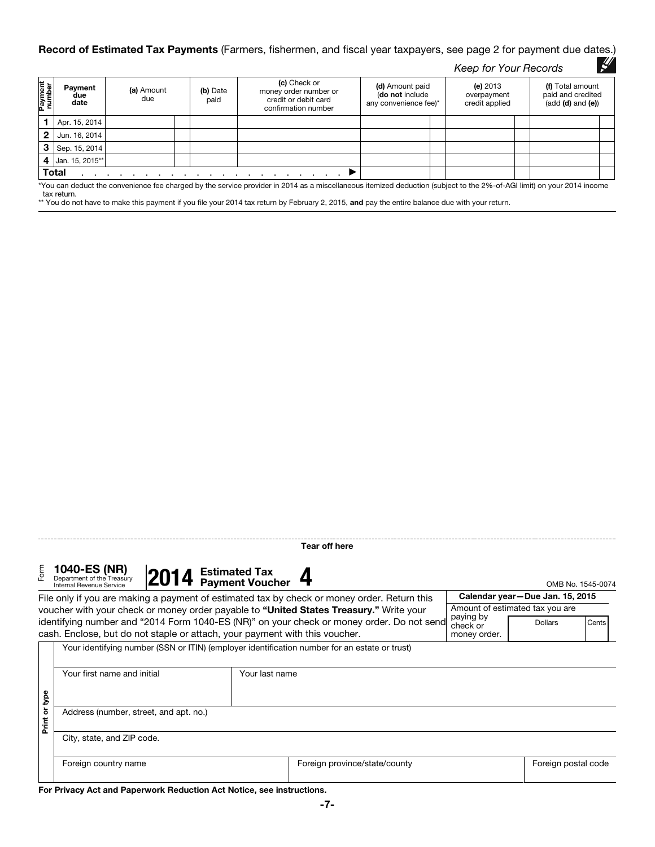#### Record of Estimated Tax Payments (Farmers, fishermen, and fiscal year taxpayers, see page 2 for payment due dates.)

|                   |                        |                   |  |                                                                                      |                                                             | <u>y</u><br>Keep for Your Records         |                                                              |  |  |
|-------------------|------------------------|-------------------|--|--------------------------------------------------------------------------------------|-------------------------------------------------------------|-------------------------------------------|--------------------------------------------------------------|--|--|
| Payment<br>number | Payment<br>due<br>date | (a) Amount<br>due |  | (c) Check or<br>money order number or<br>credit or debit card<br>confirmation number | (d) Amount paid<br>(do not include<br>any convenience fee)* | (e) 2013<br>overpayment<br>credit applied | (f) Total amount<br>paid and credited<br>$(add (d) and (e))$ |  |  |
|                   | Apr. 15, 2014          |                   |  |                                                                                      |                                                             |                                           |                                                              |  |  |
| $\mathbf{2}$      | Jun. 16, 2014          |                   |  |                                                                                      |                                                             |                                           |                                                              |  |  |
| 3 <sup>1</sup>    | Sep. 15, 2014          |                   |  |                                                                                      |                                                             |                                           |                                                              |  |  |
|                   | 4 Jan. 15, 2015**      |                   |  |                                                                                      |                                                             |                                           |                                                              |  |  |
| <b>Total</b>      |                        |                   |  |                                                                                      |                                                             |                                           |                                                              |  |  |

\*You can deduct the convenience fee charged by the service provider in 2014 as a miscellaneous itemized deduction (subject to the 2%-of-AGI limit) on your 2014 income tax return.<br>\*\* You do not have to make this payment if you file your 2014 tax return by February 2, 2015, **and** pay the entire balance due with your return.

Tear off here

Form

1040-ES (NR)<br>Department of the Treasury **2014** Payment Voucher 4 OMB No. 1545-0074<br>Internal Revenue Service **2014** Payment Voucher 4

| File only if you are making a payment of estimated tax by check or money order. Return this         |  |              |                                                                                               |       | Calendar year-Due Jan. 15, 2015 |  |  |
|-----------------------------------------------------------------------------------------------------|--|--------------|-----------------------------------------------------------------------------------------------|-------|---------------------------------|--|--|
| voucher with your check or money order payable to "United States Treasury." Write your              |  |              |                                                                                               |       | Amount of estimated tax you are |  |  |
| identifying number and "2014 Form 1040-ES (NR)" on your check or money order. Do not send paying by |  |              | <b>Dollars</b>                                                                                | Cents |                                 |  |  |
| cash. Enclose, but do not staple or attach, your payment with this voucher.                         |  | money order. |                                                                                               |       |                                 |  |  |
|                                                                                                     |  |              | Your identifying number (SSN or ITIN) (employer identification number for an estate or trust) |       |                                 |  |  |

| Address (number, street, and apt. no.)               |  |  |  |  |  |  |
|------------------------------------------------------|--|--|--|--|--|--|
|                                                      |  |  |  |  |  |  |
|                                                      |  |  |  |  |  |  |
| Foreign province/state/county<br>Foreign postal code |  |  |  |  |  |  |
|                                                      |  |  |  |  |  |  |

For Privacy Act and Paperwork Reduction Act Notice, see instructions.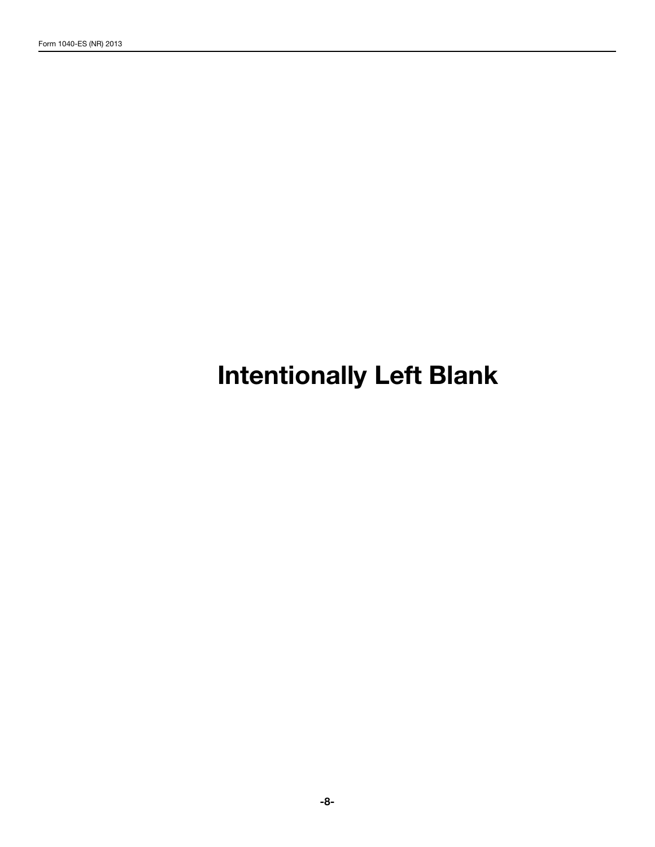## Intentionally Left Blank